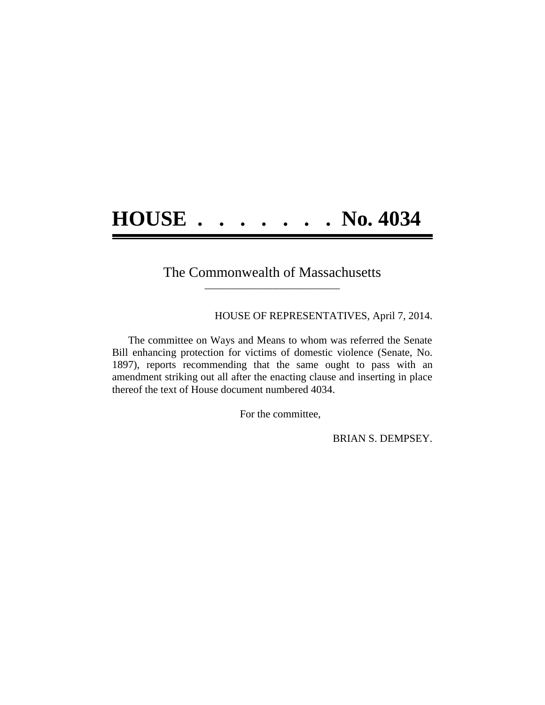## **HOUSE . . . . . . . No. 4034**

## The Commonwealth of Massachusetts **\_\_\_\_\_\_\_\_\_\_\_\_\_\_\_\_\_\_\_\_\_\_\_\_\_\_\_\_\_\_\_\_\_\_\_\_\_\_**

HOUSE OF REPRESENTATIVES, April 7, 2014.

The committee on Ways and Means to whom was referred the Senate Bill enhancing protection for victims of domestic violence (Senate, No. 1897), reports recommending that the same ought to pass with an amendment striking out all after the enacting clause and inserting in place thereof the text of House document numbered 4034.

For the committee,

BRIAN S. DEMPSEY.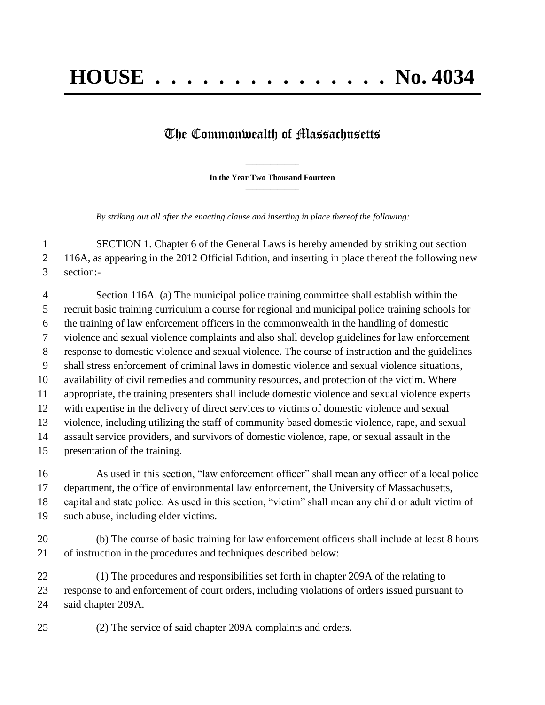## The Commonwealth of Massachusetts

**\_\_\_\_\_\_\_\_\_\_\_\_\_\_\_ In the Year Two Thousand Fourteen \_\_\_\_\_\_\_\_\_\_\_\_\_\_\_**

*By striking out all after the enacting clause and inserting in place thereof the following:*

 SECTION 1. Chapter 6 of the General Laws is hereby amended by striking out section 116A, as appearing in the 2012 Official Edition, and inserting in place thereof the following new section:-

 Section 116A. (a) The municipal police training committee shall establish within the recruit basic training curriculum a course for regional and municipal police training schools for the training of law enforcement officers in the commonwealth in the handling of domestic violence and sexual violence complaints and also shall develop guidelines for law enforcement response to domestic violence and sexual violence. The course of instruction and the guidelines shall stress enforcement of criminal laws in domestic violence and sexual violence situations, availability of civil remedies and community resources, and protection of the victim. Where appropriate, the training presenters shall include domestic violence and sexual violence experts with expertise in the delivery of direct services to victims of domestic violence and sexual violence, including utilizing the staff of community based domestic violence, rape, and sexual assault service providers, and survivors of domestic violence, rape, or sexual assault in the presentation of the training.

 As used in this section, "law enforcement officer" shall mean any officer of a local police department, the office of environmental law enforcement, the University of Massachusetts, capital and state police. As used in this section, "victim" shall mean any child or adult victim of such abuse, including elder victims.

 (b) The course of basic training for law enforcement officers shall include at least 8 hours of instruction in the procedures and techniques described below:

 (1) The procedures and responsibilities set forth in chapter 209A of the relating to response to and enforcement of court orders, including violations of orders issued pursuant to said chapter 209A.

(2) The service of said chapter 209A complaints and orders.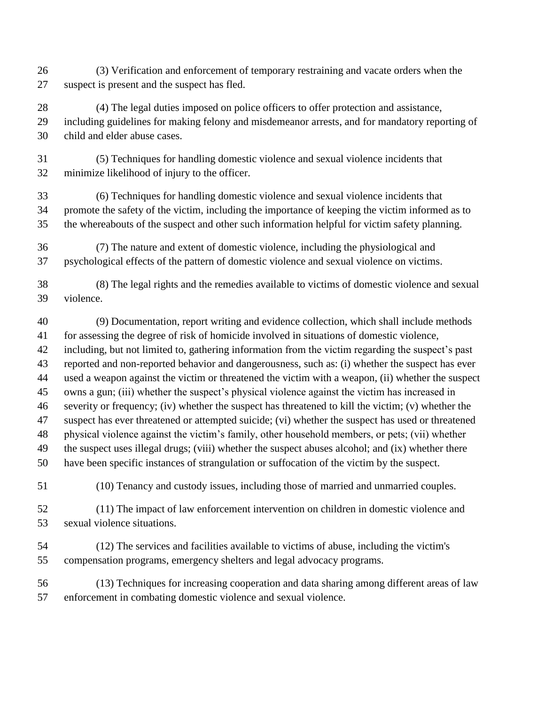- (3) Verification and enforcement of temporary restraining and vacate orders when the suspect is present and the suspect has fled.
- (4) The legal duties imposed on police officers to offer protection and assistance, including guidelines for making felony and misdemeanor arrests, and for mandatory reporting of child and elder abuse cases.
- (5) Techniques for handling domestic violence and sexual violence incidents that minimize likelihood of injury to the officer.
- (6) Techniques for handling domestic violence and sexual violence incidents that promote the safety of the victim, including the importance of keeping the victim informed as to the whereabouts of the suspect and other such information helpful for victim safety planning.
- (7) The nature and extent of domestic violence, including the physiological and psychological effects of the pattern of domestic violence and sexual violence on victims.
- (8) The legal rights and the remedies available to victims of domestic violence and sexual violence.
- (9) Documentation, report writing and evidence collection, which shall include methods for assessing the degree of risk of homicide involved in situations of domestic violence, including, but not limited to, gathering information from the victim regarding the suspect's past reported and non-reported behavior and dangerousness, such as: (i) whether the suspect has ever used a weapon against the victim or threatened the victim with a weapon, (ii) whether the suspect owns a gun; (iii) whether the suspect's physical violence against the victim has increased in severity or frequency; (iv) whether the suspect has threatened to kill the victim; (v) whether the suspect has ever threatened or attempted suicide; (vi) whether the suspect has used or threatened physical violence against the victim's family, other household members, or pets; (vii) whether the suspect uses illegal drugs; (viii) whether the suspect abuses alcohol; and (ix) whether there have been specific instances of strangulation or suffocation of the victim by the suspect.
- 

(10) Tenancy and custody issues, including those of married and unmarried couples.

- (11) The impact of law enforcement intervention on children in domestic violence and sexual violence situations.
- (12) The services and facilities available to victims of abuse, including the victim's compensation programs, emergency shelters and legal advocacy programs.
- (13) Techniques for increasing cooperation and data sharing among different areas of law enforcement in combating domestic violence and sexual violence.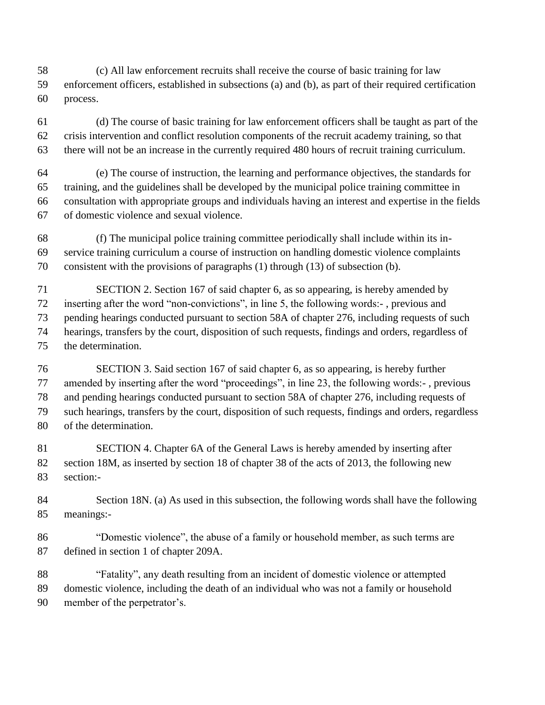(c) All law enforcement recruits shall receive the course of basic training for law enforcement officers, established in subsections (a) and (b), as part of their required certification process.

 (d) The course of basic training for law enforcement officers shall be taught as part of the crisis intervention and conflict resolution components of the recruit academy training, so that there will not be an increase in the currently required 480 hours of recruit training curriculum.

 (e) The course of instruction, the learning and performance objectives, the standards for training, and the guidelines shall be developed by the municipal police training committee in consultation with appropriate groups and individuals having an interest and expertise in the fields of domestic violence and sexual violence.

 (f) The municipal police training committee periodically shall include within its in- service training curriculum a course of instruction on handling domestic violence complaints consistent with the provisions of paragraphs (1) through (13) of subsection (b).

 SECTION 2. Section 167 of said chapter 6, as so appearing, is hereby amended by inserting after the word "non-convictions", in line 5, the following words:- , previous and pending hearings conducted pursuant to section 58A of chapter 276, including requests of such hearings, transfers by the court, disposition of such requests, findings and orders, regardless of the determination.

 SECTION 3. Said section 167 of said chapter 6, as so appearing, is hereby further amended by inserting after the word "proceedings", in line 23, the following words:- , previous and pending hearings conducted pursuant to section 58A of chapter 276, including requests of such hearings, transfers by the court, disposition of such requests, findings and orders, regardless of the determination.

 SECTION 4. Chapter 6A of the General Laws is hereby amended by inserting after section 18M, as inserted by section 18 of chapter 38 of the acts of 2013, the following new section:-

 Section 18N. (a) As used in this subsection, the following words shall have the following meanings:-

 "Domestic violence", the abuse of a family or household member, as such terms are defined in section 1 of chapter 209A.

 "Fatality", any death resulting from an incident of domestic violence or attempted domestic violence, including the death of an individual who was not a family or household member of the perpetrator's.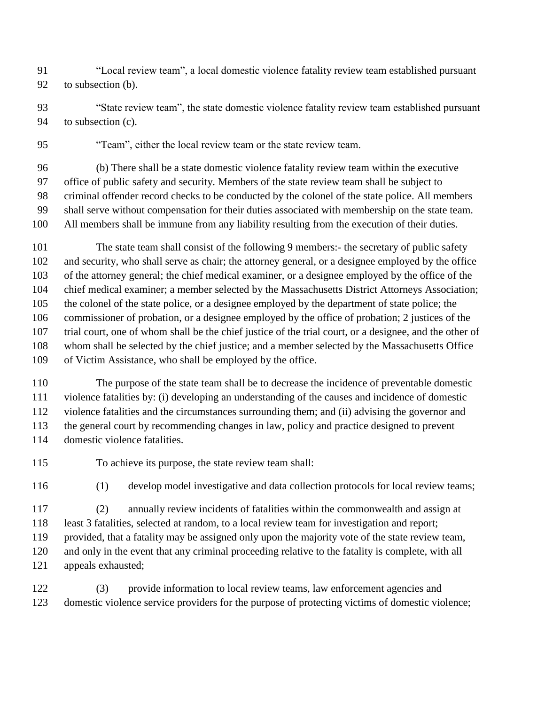"Local review team", a local domestic violence fatality review team established pursuant to subsection (b).

- "State review team", the state domestic violence fatality review team established pursuant to subsection (c).
- "Team", either the local review team or the state review team.

 (b) There shall be a state domestic violence fatality review team within the executive office of public safety and security. Members of the state review team shall be subject to criminal offender record checks to be conducted by the colonel of the state police. All members shall serve without compensation for their duties associated with membership on the state team. All members shall be immune from any liability resulting from the execution of their duties.

 The state team shall consist of the following 9 members:- the secretary of public safety and security, who shall serve as chair; the attorney general, or a designee employed by the office of the attorney general; the chief medical examiner, or a designee employed by the office of the chief medical examiner; a member selected by the Massachusetts District Attorneys Association; the colonel of the state police, or a designee employed by the department of state police; the commissioner of probation, or a designee employed by the office of probation; 2 justices of the trial court, one of whom shall be the chief justice of the trial court, or a designee, and the other of whom shall be selected by the chief justice; and a member selected by the Massachusetts Office of Victim Assistance, who shall be employed by the office.

 The purpose of the state team shall be to decrease the incidence of preventable domestic violence fatalities by: (i) developing an understanding of the causes and incidence of domestic violence fatalities and the circumstances surrounding them; and (ii) advising the governor and the general court by recommending changes in law, policy and practice designed to prevent domestic violence fatalities.

- To achieve its purpose, the state review team shall:
- 

(1) develop model investigative and data collection protocols for local review teams;

(2) annually review incidents of fatalities within the commonwealth and assign at

least 3 fatalities, selected at random, to a local review team for investigation and report;

provided, that a fatality may be assigned only upon the majority vote of the state review team,

and only in the event that any criminal proceeding relative to the fatality is complete, with all

appeals exhausted;

 (3) provide information to local review teams, law enforcement agencies and domestic violence service providers for the purpose of protecting victims of domestic violence;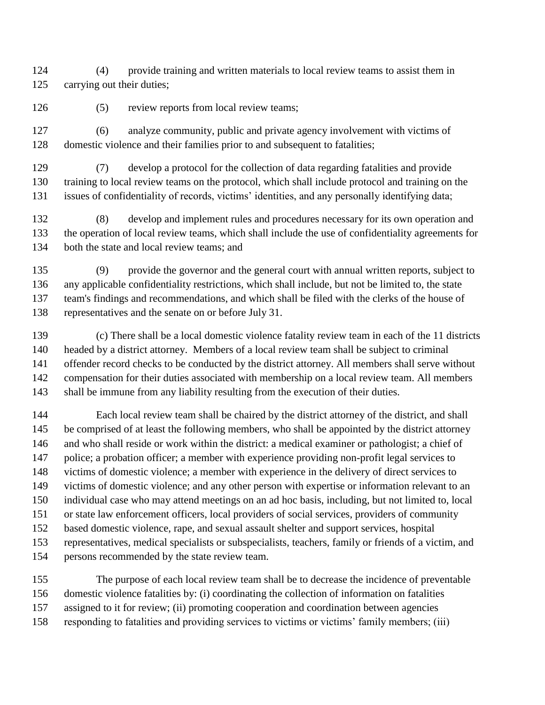(4) provide training and written materials to local review teams to assist them in carrying out their duties;

126 (5) review reports from local review teams;

 (6) analyze community, public and private agency involvement with victims of domestic violence and their families prior to and subsequent to fatalities;

(7) develop a protocol for the collection of data regarding fatalities and provide

training to local review teams on the protocol, which shall include protocol and training on the

issues of confidentiality of records, victims' identities, and any personally identifying data;

 (8) develop and implement rules and procedures necessary for its own operation and the operation of local review teams, which shall include the use of confidentiality agreements for both the state and local review teams; and

 (9) provide the governor and the general court with annual written reports, subject to any applicable confidentiality restrictions, which shall include, but not be limited to, the state team's findings and recommendations, and which shall be filed with the clerks of the house of representatives and the senate on or before July 31.

 (c) There shall be a local domestic violence fatality review team in each of the 11 districts headed by a district attorney. Members of a local review team shall be subject to criminal offender record checks to be conducted by the district attorney. All members shall serve without compensation for their duties associated with membership on a local review team. All members shall be immune from any liability resulting from the execution of their duties.

 Each local review team shall be chaired by the district attorney of the district, and shall be comprised of at least the following members, who shall be appointed by the district attorney and who shall reside or work within the district: a medical examiner or pathologist; a chief of police; a probation officer; a member with experience providing non-profit legal services to victims of domestic violence; a member with experience in the delivery of direct services to victims of domestic violence; and any other person with expertise or information relevant to an individual case who may attend meetings on an ad hoc basis, including, but not limited to, local or state law enforcement officers, local providers of social services, providers of community based domestic violence, rape, and sexual assault shelter and support services, hospital representatives, medical specialists or subspecialists, teachers, family or friends of a victim, and

persons recommended by the state review team.

 The purpose of each local review team shall be to decrease the incidence of preventable domestic violence fatalities by: (i) coordinating the collection of information on fatalities assigned to it for review; (ii) promoting cooperation and coordination between agencies

responding to fatalities and providing services to victims or victims' family members; (iii)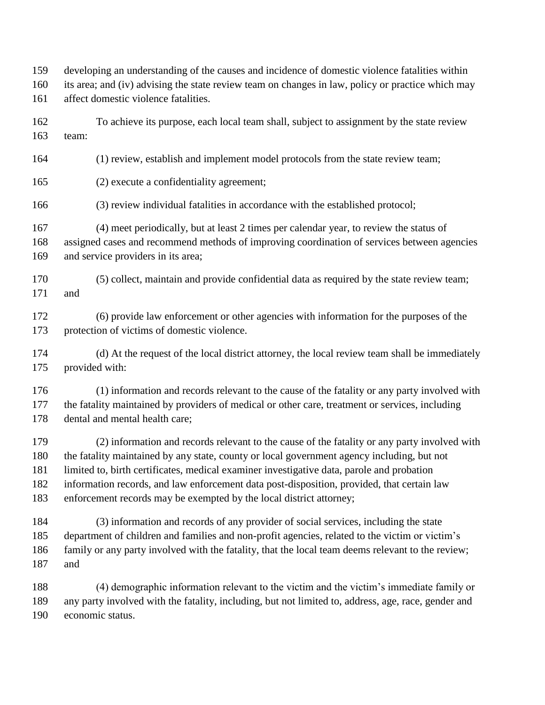developing an understanding of the causes and incidence of domestic violence fatalities within

- its area; and (iv) advising the state review team on changes in law, policy or practice which may
- affect domestic violence fatalities.
- To achieve its purpose, each local team shall, subject to assignment by the state review team:
- (1) review, establish and implement model protocols from the state review team;
- (2) execute a confidentiality agreement;
- (3) review individual fatalities in accordance with the established protocol;
- (4) meet periodically, but at least 2 times per calendar year, to review the status of
- assigned cases and recommend methods of improving coordination of services between agencies and service providers in its area;
- (5) collect, maintain and provide confidential data as required by the state review team; and
- (6) provide law enforcement or other agencies with information for the purposes of the protection of victims of domestic violence.
- (d) At the request of the local district attorney, the local review team shall be immediately provided with:
- (1) information and records relevant to the cause of the fatality or any party involved with the fatality maintained by providers of medical or other care, treatment or services, including dental and mental health care;
- (2) information and records relevant to the cause of the fatality or any party involved with the fatality maintained by any state, county or local government agency including, but not limited to, birth certificates, medical examiner investigative data, parole and probation information records, and law enforcement data post-disposition, provided, that certain law enforcement records may be exempted by the local district attorney;
- (3) information and records of any provider of social services, including the state department of children and families and non-profit agencies, related to the victim or victim's family or any party involved with the fatality, that the local team deems relevant to the review; and
- (4) demographic information relevant to the victim and the victim's immediate family or any party involved with the fatality, including, but not limited to, address, age, race, gender and economic status.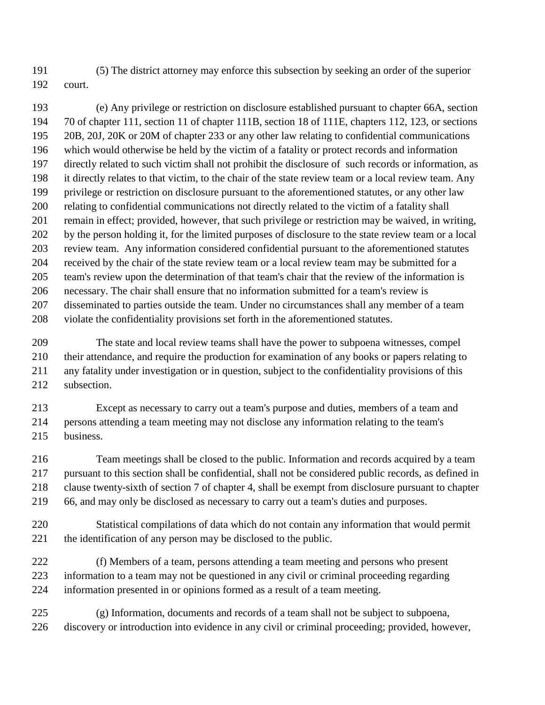(5) The district attorney may enforce this subsection by seeking an order of the superior court.

 (e) Any privilege or restriction on disclosure established pursuant to chapter 66A, section 70 of chapter 111, section 11 of chapter 111B, section 18 of 111E, chapters 112, 123, or sections 20B, 20J, 20K or 20M of chapter 233 or any other law relating to confidential communications which would otherwise be held by the victim of a fatality or protect records and information directly related to such victim shall not prohibit the disclosure of such records or information, as it directly relates to that victim, to the chair of the state review team or a local review team. Any privilege or restriction on disclosure pursuant to the aforementioned statutes, or any other law relating to confidential communications not directly related to the victim of a fatality shall remain in effect; provided, however, that such privilege or restriction may be waived, in writing, by the person holding it, for the limited purposes of disclosure to the state review team or a local review team. Any information considered confidential pursuant to the aforementioned statutes received by the chair of the state review team or a local review team may be submitted for a team's review upon the determination of that team's chair that the review of the information is necessary. The chair shall ensure that no information submitted for a team's review is disseminated to parties outside the team. Under no circumstances shall any member of a team violate the confidentiality provisions set forth in the aforementioned statutes.

 The state and local review teams shall have the power to subpoena witnesses, compel their attendance, and require the production for examination of any books or papers relating to any fatality under investigation or in question, subject to the confidentiality provisions of this subsection.

 Except as necessary to carry out a team's purpose and duties, members of a team and persons attending a team meeting may not disclose any information relating to the team's business.

 Team meetings shall be closed to the public. Information and records acquired by a team pursuant to this section shall be confidential, shall not be considered public records, as defined in clause twenty-sixth of section 7 of chapter 4, shall be exempt from disclosure pursuant to chapter 66, and may only be disclosed as necessary to carry out a team's duties and purposes.

 Statistical compilations of data which do not contain any information that would permit the identification of any person may be disclosed to the public.

- (f) Members of a team, persons attending a team meeting and persons who present information to a team may not be questioned in any civil or criminal proceeding regarding information presented in or opinions formed as a result of a team meeting.
- (g) Information, documents and records of a team shall not be subject to subpoena, discovery or introduction into evidence in any civil or criminal proceeding; provided, however,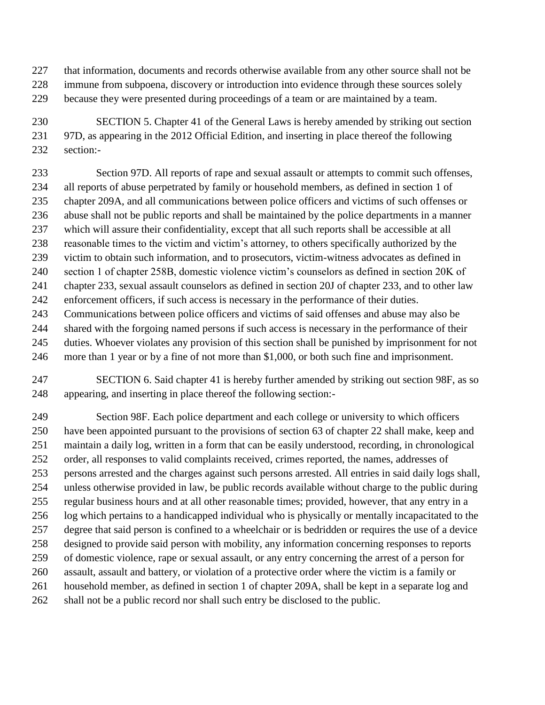that information, documents and records otherwise available from any other source shall not be

- immune from subpoena, discovery or introduction into evidence through these sources solely because they were presented during proceedings of a team or are maintained by a team.
- SECTION 5. Chapter 41 of the General Laws is hereby amended by striking out section 97D, as appearing in the 2012 Official Edition, and inserting in place thereof the following section:-

 Section 97D. All reports of rape and sexual assault or attempts to commit such offenses, all reports of abuse perpetrated by family or household members, as defined in section 1 of chapter 209A, and all communications between police officers and victims of such offenses or abuse shall not be public reports and shall be maintained by the police departments in a manner which will assure their confidentiality, except that all such reports shall be accessible at all reasonable times to the victim and victim's attorney, to others specifically authorized by the victim to obtain such information, and to prosecutors, victim-witness advocates as defined in section 1 of chapter 258B, domestic violence victim's counselors as defined in section 20K of chapter 233, sexual assault counselors as defined in section 20J of chapter 233, and to other law enforcement officers, if such access is necessary in the performance of their duties. Communications between police officers and victims of said offenses and abuse may also be shared with the forgoing named persons if such access is necessary in the performance of their

- duties. Whoever violates any provision of this section shall be punished by imprisonment for not more than 1 year or by a fine of not more than \$1,000, or both such fine and imprisonment.
- SECTION 6. Said chapter 41 is hereby further amended by striking out section 98F, as so appearing, and inserting in place thereof the following section:-

 Section 98F. Each police department and each college or university to which officers have been appointed pursuant to the provisions of section 63 of chapter 22 shall make, keep and maintain a daily log, written in a form that can be easily understood, recording, in chronological order, all responses to valid complaints received, crimes reported, the names, addresses of persons arrested and the charges against such persons arrested. All entries in said daily logs shall, unless otherwise provided in law, be public records available without charge to the public during regular business hours and at all other reasonable times; provided, however, that any entry in a log which pertains to a handicapped individual who is physically or mentally incapacitated to the degree that said person is confined to a wheelchair or is bedridden or requires the use of a device designed to provide said person with mobility, any information concerning responses to reports of domestic violence, rape or sexual assault, or any entry concerning the arrest of a person for assault, assault and battery, or violation of a protective order where the victim is a family or household member, as defined in section 1 of chapter 209A, shall be kept in a separate log and shall not be a public record nor shall such entry be disclosed to the public.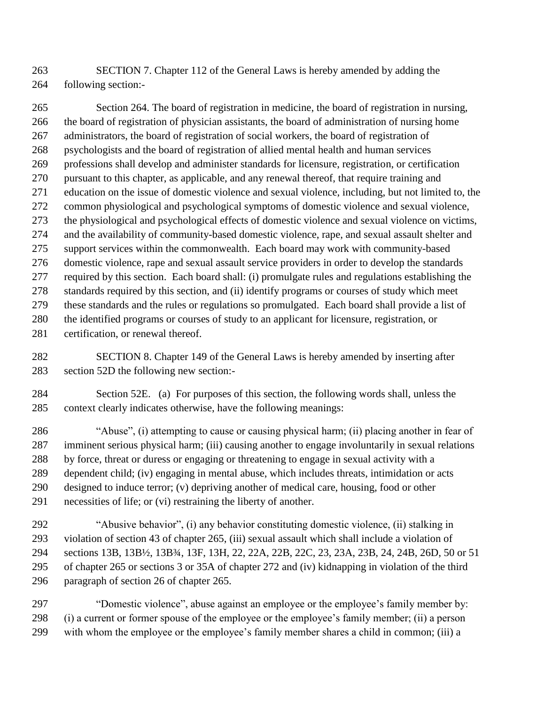SECTION 7. Chapter 112 of the General Laws is hereby amended by adding the following section:-

 Section 264. The board of registration in medicine, the board of registration in nursing, the board of registration of physician assistants, the board of administration of nursing home administrators, the board of registration of social workers, the board of registration of psychologists and the board of registration of allied mental health and human services professions shall develop and administer standards for licensure, registration, or certification pursuant to this chapter, as applicable, and any renewal thereof, that require training and education on the issue of domestic violence and sexual violence, including, but not limited to, the common physiological and psychological symptoms of domestic violence and sexual violence, the physiological and psychological effects of domestic violence and sexual violence on victims, and the availability of community-based domestic violence, rape, and sexual assault shelter and support services within the commonwealth. Each board may work with community-based domestic violence, rape and sexual assault service providers in order to develop the standards required by this section. Each board shall: (i) promulgate rules and regulations establishing the standards required by this section, and (ii) identify programs or courses of study which meet these standards and the rules or regulations so promulgated. Each board shall provide a list of the identified programs or courses of study to an applicant for licensure, registration, or certification, or renewal thereof.

 SECTION 8. Chapter 149 of the General Laws is hereby amended by inserting after section 52D the following new section:-

 Section 52E. (a) For purposes of this section, the following words shall, unless the context clearly indicates otherwise, have the following meanings:

 "Abuse", (i) attempting to cause or causing physical harm; (ii) placing another in fear of imminent serious physical harm; (iii) causing another to engage involuntarily in sexual relations by force, threat or duress or engaging or threatening to engage in sexual activity with a dependent child; (iv) engaging in mental abuse, which includes threats, intimidation or acts designed to induce terror; (v) depriving another of medical care, housing, food or other necessities of life; or (vi) restraining the liberty of another.

 "Abusive behavior", (i) any behavior constituting domestic violence, (ii) stalking in violation of section 43 of chapter 265, (iii) sexual assault which shall include a violation of sections 13B, 13B½, 13B¾, 13F, 13H, 22, 22A, 22B, 22C, 23, 23A, 23B, 24, 24B, 26D, 50 or 51 of chapter 265 or sections 3 or 35A of chapter 272 and (iv) kidnapping in violation of the third paragraph of section 26 of chapter 265.

 "Domestic violence", abuse against an employee or the employee's family member by: (i) a current or former spouse of the employee or the employee's family member; (ii) a person with whom the employee or the employee's family member shares a child in common; (iii) a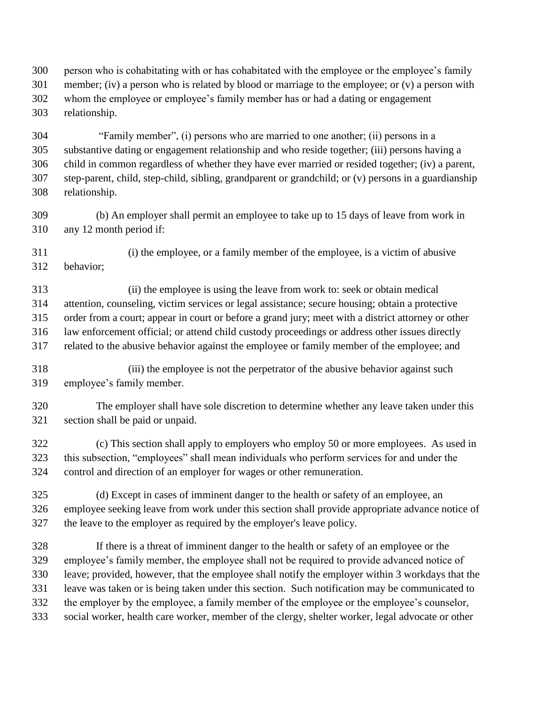person who is cohabitating with or has cohabitated with the employee or the employee's family 301 member; (iv) a person who is related by blood or marriage to the employee; or (v) a person with whom the employee or employee's family member has or had a dating or engagement relationship.

 "Family member", (i) persons who are married to one another; (ii) persons in a substantive dating or engagement relationship and who reside together; (iii) persons having a child in common regardless of whether they have ever married or resided together; (iv) a parent, step-parent, child, step-child, sibling, grandparent or grandchild; or (v) persons in a guardianship relationship.

 (b) An employer shall permit an employee to take up to 15 days of leave from work in any 12 month period if:

 (i) the employee, or a family member of the employee, is a victim of abusive behavior;

 (ii) the employee is using the leave from work to: seek or obtain medical attention, counseling, victim services or legal assistance; secure housing; obtain a protective order from a court; appear in court or before a grand jury; meet with a district attorney or other law enforcement official; or attend child custody proceedings or address other issues directly related to the abusive behavior against the employee or family member of the employee; and

 (iii) the employee is not the perpetrator of the abusive behavior against such employee's family member.

 The employer shall have sole discretion to determine whether any leave taken under this section shall be paid or unpaid.

 (c) This section shall apply to employers who employ 50 or more employees. As used in this subsection, "employees" shall mean individuals who perform services for and under the control and direction of an employer for wages or other remuneration.

 (d) Except in cases of imminent danger to the health or safety of an employee, an employee seeking leave from work under this section shall provide appropriate advance notice of the leave to the employer as required by the employer's leave policy.

 If there is a threat of imminent danger to the health or safety of an employee or the employee's family member, the employee shall not be required to provide advanced notice of leave; provided, however, that the employee shall notify the employer within 3 workdays that the leave was taken or is being taken under this section. Such notification may be communicated to the employer by the employee, a family member of the employee or the employee's counselor, social worker, health care worker, member of the clergy, shelter worker, legal advocate or other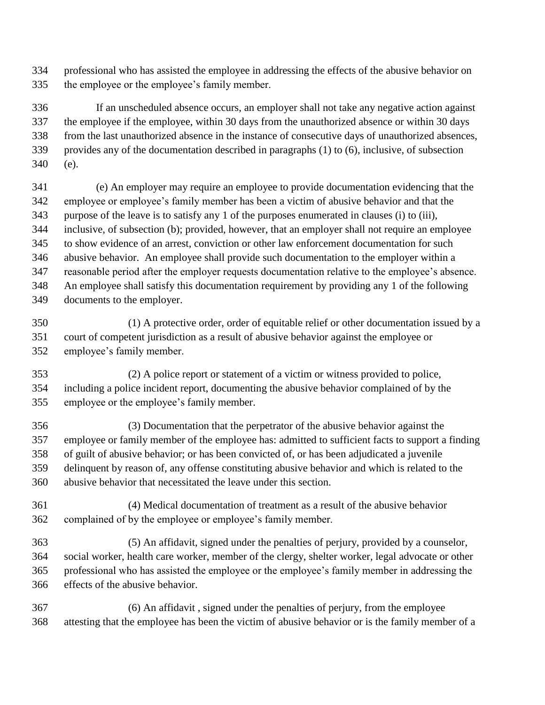professional who has assisted the employee in addressing the effects of the abusive behavior on the employee or the employee's family member.

 If an unscheduled absence occurs, an employer shall not take any negative action against the employee if the employee, within 30 days from the unauthorized absence or within 30 days from the last unauthorized absence in the instance of consecutive days of unauthorized absences, provides any of the documentation described in paragraphs (1) to (6), inclusive, of subsection (e).

 (e) An employer may require an employee to provide documentation evidencing that the employee or employee's family member has been a victim of abusive behavior and that the purpose of the leave is to satisfy any 1 of the purposes enumerated in clauses (i) to (iii), inclusive, of subsection (b); provided, however, that an employer shall not require an employee to show evidence of an arrest, conviction or other law enforcement documentation for such abusive behavior. An employee shall provide such documentation to the employer within a reasonable period after the employer requests documentation relative to the employee's absence. An employee shall satisfy this documentation requirement by providing any 1 of the following documents to the employer.

 (1) A protective order, order of equitable relief or other documentation issued by a court of competent jurisdiction as a result of abusive behavior against the employee or employee's family member.

 (2) A police report or statement of a victim or witness provided to police, including a police incident report, documenting the abusive behavior complained of by the employee or the employee's family member.

 (3) Documentation that the perpetrator of the abusive behavior against the employee or family member of the employee has: admitted to sufficient facts to support a finding of guilt of abusive behavior; or has been convicted of, or has been adjudicated a juvenile delinquent by reason of, any offense constituting abusive behavior and which is related to the abusive behavior that necessitated the leave under this section.

 (4) Medical documentation of treatment as a result of the abusive behavior complained of by the employee or employee's family member.

 (5) An affidavit, signed under the penalties of perjury, provided by a counselor, social worker, health care worker, member of the clergy, shelter worker, legal advocate or other professional who has assisted the employee or the employee's family member in addressing the effects of the abusive behavior.

 (6) An affidavit , signed under the penalties of perjury, from the employee attesting that the employee has been the victim of abusive behavior or is the family member of a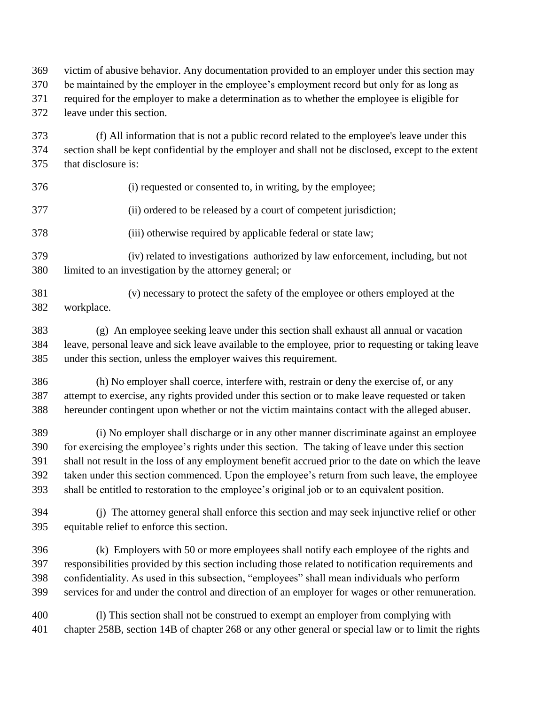victim of abusive behavior. Any documentation provided to an employer under this section may

be maintained by the employer in the employee's employment record but only for as long as

required for the employer to make a determination as to whether the employee is eligible for

leave under this section.

 (f) All information that is not a public record related to the employee's leave under this section shall be kept confidential by the employer and shall not be disclosed, except to the extent that disclosure is:

- (i) requested or consented to, in writing, by the employee;
	- (ii) ordered to be released by a court of competent jurisdiction;
	- (iii) otherwise required by applicable federal or state law;
	- (iv) related to investigations authorized by law enforcement, including, but not limited to an investigation by the attorney general; or
	- (v) necessary to protect the safety of the employee or others employed at the workplace.

 (g) An employee seeking leave under this section shall exhaust all annual or vacation leave, personal leave and sick leave available to the employee, prior to requesting or taking leave under this section, unless the employer waives this requirement.

 (h) No employer shall coerce, interfere with, restrain or deny the exercise of, or any attempt to exercise, any rights provided under this section or to make leave requested or taken hereunder contingent upon whether or not the victim maintains contact with the alleged abuser.

 (i) No employer shall discharge or in any other manner discriminate against an employee for exercising the employee's rights under this section. The taking of leave under this section shall not result in the loss of any employment benefit accrued prior to the date on which the leave taken under this section commenced. Upon the employee's return from such leave, the employee shall be entitled to restoration to the employee's original job or to an equivalent position.

 (j) The attorney general shall enforce this section and may seek injunctive relief or other equitable relief to enforce this section.

 (k) Employers with 50 or more employees shall notify each employee of the rights and responsibilities provided by this section including those related to notification requirements and confidentiality. As used in this subsection, "employees" shall mean individuals who perform services for and under the control and direction of an employer for wages or other remuneration.

 (l) This section shall not be construed to exempt an employer from complying with chapter 258B, section 14B of chapter 268 or any other general or special law or to limit the rights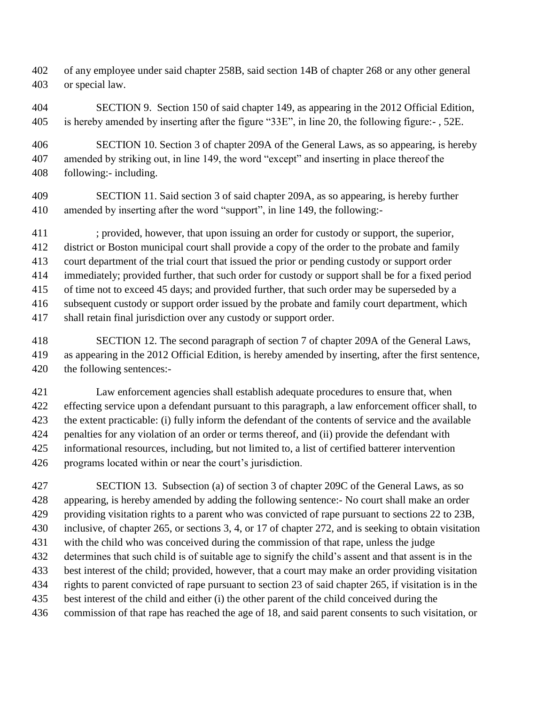- of any employee under said chapter 258B, said section 14B of chapter 268 or any other general or special law.
- SECTION 9. Section 150 of said chapter 149, as appearing in the 2012 Official Edition, is hereby amended by inserting after the figure "33E", in line 20, the following figure:- , 52E.
- SECTION 10. Section 3 of chapter 209A of the General Laws, as so appearing, is hereby amended by striking out, in line 149, the word "except" and inserting in place thereof the following:- including.
- SECTION 11. Said section 3 of said chapter 209A, as so appearing, is hereby further amended by inserting after the word "support", in line 149, the following:-
- ; provided, however, that upon issuing an order for custody or support, the superior, district or Boston municipal court shall provide a copy of the order to the probate and family court department of the trial court that issued the prior or pending custody or support order immediately; provided further, that such order for custody or support shall be for a fixed period of time not to exceed 45 days; and provided further, that such order may be superseded by a subsequent custody or support order issued by the probate and family court department, which shall retain final jurisdiction over any custody or support order.
- SECTION 12. The second paragraph of section 7 of chapter 209A of the General Laws, as appearing in the 2012 Official Edition, is hereby amended by inserting, after the first sentence, the following sentences:-
- Law enforcement agencies shall establish adequate procedures to ensure that, when effecting service upon a defendant pursuant to this paragraph, a law enforcement officer shall, to the extent practicable: (i) fully inform the defendant of the contents of service and the available penalties for any violation of an order or terms thereof, and (ii) provide the defendant with informational resources, including, but not limited to, a list of certified batterer intervention programs located within or near the court's jurisdiction.
- SECTION 13. Subsection (a) of section 3 of chapter 209C of the General Laws, as so appearing, is hereby amended by adding the following sentence:- No court shall make an order providing visitation rights to a parent who was convicted of rape pursuant to sections 22 to 23B, inclusive, of chapter 265, or sections 3, 4, or 17 of chapter 272, and is seeking to obtain visitation with the child who was conceived during the commission of that rape, unless the judge determines that such child is of suitable age to signify the child's assent and that assent is in the best interest of the child; provided, however, that a court may make an order providing visitation rights to parent convicted of rape pursuant to section 23 of said chapter 265, if visitation is in the best interest of the child and either (i) the other parent of the child conceived during the
- commission of that rape has reached the age of 18, and said parent consents to such visitation, or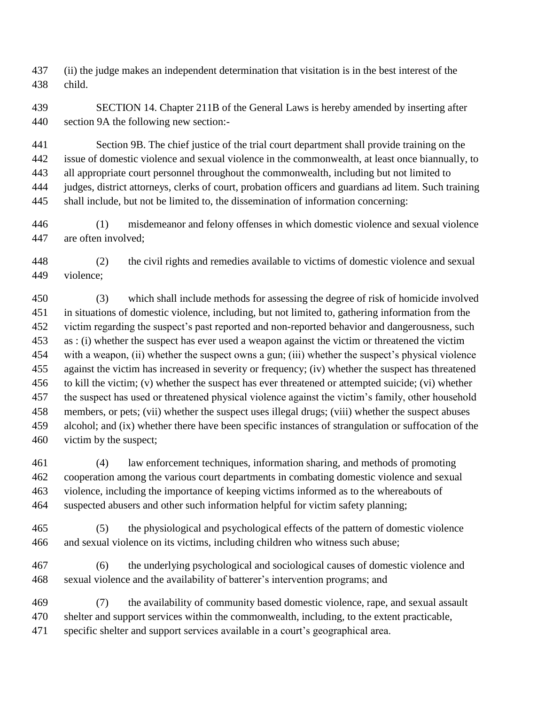(ii) the judge makes an independent determination that visitation is in the best interest of the child.

 SECTION 14. Chapter 211B of the General Laws is hereby amended by inserting after section 9A the following new section:-

 Section 9B. The chief justice of the trial court department shall provide training on the issue of domestic violence and sexual violence in the commonwealth, at least once biannually, to all appropriate court personnel throughout the commonwealth, including but not limited to judges, district attorneys, clerks of court, probation officers and guardians ad litem. Such training shall include, but not be limited to, the dissemination of information concerning:

 (1) misdemeanor and felony offenses in which domestic violence and sexual violence are often involved;

 (2) the civil rights and remedies available to victims of domestic violence and sexual violence;

 (3) which shall include methods for assessing the degree of risk of homicide involved in situations of domestic violence, including, but not limited to, gathering information from the victim regarding the suspect's past reported and non-reported behavior and dangerousness, such as : (i) whether the suspect has ever used a weapon against the victim or threatened the victim with a weapon, (ii) whether the suspect owns a gun; (iii) whether the suspect's physical violence against the victim has increased in severity or frequency; (iv) whether the suspect has threatened to kill the victim; (v) whether the suspect has ever threatened or attempted suicide; (vi) whether the suspect has used or threatened physical violence against the victim's family, other household members, or pets; (vii) whether the suspect uses illegal drugs; (viii) whether the suspect abuses alcohol; and (ix) whether there have been specific instances of strangulation or suffocation of the victim by the suspect;

 (4) law enforcement techniques, information sharing, and methods of promoting cooperation among the various court departments in combating domestic violence and sexual violence, including the importance of keeping victims informed as to the whereabouts of suspected abusers and other such information helpful for victim safety planning;

 (5) the physiological and psychological effects of the pattern of domestic violence and sexual violence on its victims, including children who witness such abuse;

 (6) the underlying psychological and sociological causes of domestic violence and sexual violence and the availability of batterer's intervention programs; and

 (7) the availability of community based domestic violence, rape, and sexual assault shelter and support services within the commonwealth, including, to the extent practicable, specific shelter and support services available in a court's geographical area.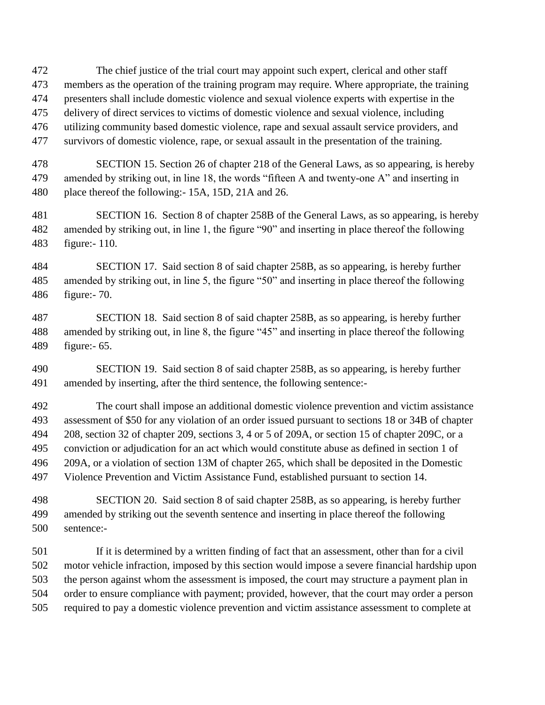The chief justice of the trial court may appoint such expert, clerical and other staff members as the operation of the training program may require. Where appropriate, the training presenters shall include domestic violence and sexual violence experts with expertise in the delivery of direct services to victims of domestic violence and sexual violence, including utilizing community based domestic violence, rape and sexual assault service providers, and survivors of domestic violence, rape, or sexual assault in the presentation of the training.

 SECTION 15. Section 26 of chapter 218 of the General Laws, as so appearing, is hereby amended by striking out, in line 18, the words "fifteen A and twenty-one A" and inserting in place thereof the following:- 15A, 15D, 21A and 26.

 SECTION 16. Section 8 of chapter 258B of the General Laws, as so appearing, is hereby amended by striking out, in line 1, the figure "90" and inserting in place thereof the following figure:- 110.

 SECTION 17. Said section 8 of said chapter 258B, as so appearing, is hereby further amended by striking out, in line 5, the figure "50" and inserting in place thereof the following figure:- 70.

 SECTION 18. Said section 8 of said chapter 258B, as so appearing, is hereby further amended by striking out, in line 8, the figure "45" and inserting in place thereof the following figure:- 65.

 SECTION 19. Said section 8 of said chapter 258B, as so appearing, is hereby further amended by inserting, after the third sentence, the following sentence:-

 The court shall impose an additional domestic violence prevention and victim assistance assessment of \$50 for any violation of an order issued pursuant to sections 18 or 34B of chapter 208, section 32 of chapter 209, sections 3, 4 or 5 of 209A, or section 15 of chapter 209C, or a conviction or adjudication for an act which would constitute abuse as defined in section 1 of 209A, or a violation of section 13M of chapter 265, which shall be deposited in the Domestic Violence Prevention and Victim Assistance Fund, established pursuant to section 14.

 SECTION 20. Said section 8 of said chapter 258B, as so appearing, is hereby further amended by striking out the seventh sentence and inserting in place thereof the following sentence:-

 If it is determined by a written finding of fact that an assessment, other than for a civil motor vehicle infraction, imposed by this section would impose a severe financial hardship upon the person against whom the assessment is imposed, the court may structure a payment plan in order to ensure compliance with payment; provided, however, that the court may order a person required to pay a domestic violence prevention and victim assistance assessment to complete at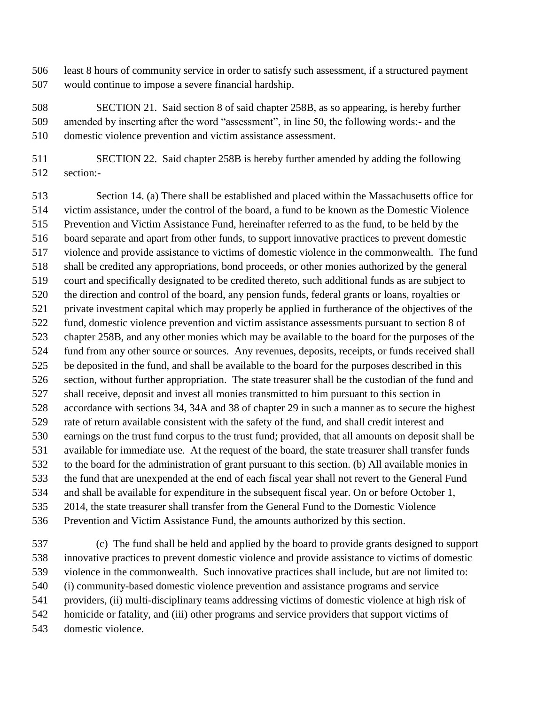least 8 hours of community service in order to satisfy such assessment, if a structured payment would continue to impose a severe financial hardship.

 SECTION 21. Said section 8 of said chapter 258B, as so appearing, is hereby further amended by inserting after the word "assessment", in line 50, the following words:- and the domestic violence prevention and victim assistance assessment.

 SECTION 22. Said chapter 258B is hereby further amended by adding the following section:-

 Section 14. (a) There shall be established and placed within the Massachusetts office for victim assistance, under the control of the board, a fund to be known as the Domestic Violence Prevention and Victim Assistance Fund, hereinafter referred to as the fund, to be held by the board separate and apart from other funds, to support innovative practices to prevent domestic violence and provide assistance to victims of domestic violence in the commonwealth. The fund shall be credited any appropriations, bond proceeds, or other monies authorized by the general court and specifically designated to be credited thereto, such additional funds as are subject to the direction and control of the board, any pension funds, federal grants or loans, royalties or private investment capital which may properly be applied in furtherance of the objectives of the fund, domestic violence prevention and victim assistance assessments pursuant to section 8 of chapter 258B, and any other monies which may be available to the board for the purposes of the fund from any other source or sources. Any revenues, deposits, receipts, or funds received shall be deposited in the fund, and shall be available to the board for the purposes described in this section, without further appropriation. The state treasurer shall be the custodian of the fund and shall receive, deposit and invest all monies transmitted to him pursuant to this section in accordance with sections 34, 34A and 38 of chapter 29 in such a manner as to secure the highest rate of return available consistent with the safety of the fund, and shall credit interest and earnings on the trust fund corpus to the trust fund; provided, that all amounts on deposit shall be available for immediate use. At the request of the board, the state treasurer shall transfer funds to the board for the administration of grant pursuant to this section. (b) All available monies in the fund that are unexpended at the end of each fiscal year shall not revert to the General Fund and shall be available for expenditure in the subsequent fiscal year. On or before October 1, 2014, the state treasurer shall transfer from the General Fund to the Domestic Violence Prevention and Victim Assistance Fund, the amounts authorized by this section.

 (c) The fund shall be held and applied by the board to provide grants designed to support innovative practices to prevent domestic violence and provide assistance to victims of domestic violence in the commonwealth. Such innovative practices shall include, but are not limited to: (i) community-based domestic violence prevention and assistance programs and service providers, (ii) multi-disciplinary teams addressing victims of domestic violence at high risk of homicide or fatality, and (iii) other programs and service providers that support victims of domestic violence.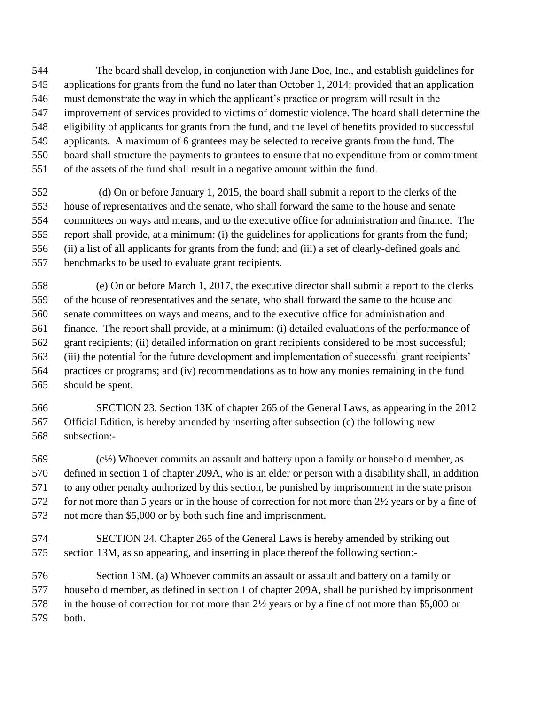The board shall develop, in conjunction with Jane Doe, Inc., and establish guidelines for applications for grants from the fund no later than October 1, 2014; provided that an application must demonstrate the way in which the applicant's practice or program will result in the improvement of services provided to victims of domestic violence. The board shall determine the eligibility of applicants for grants from the fund, and the level of benefits provided to successful applicants. A maximum of 6 grantees may be selected to receive grants from the fund. The board shall structure the payments to grantees to ensure that no expenditure from or commitment of the assets of the fund shall result in a negative amount within the fund.

 (d) On or before January 1, 2015, the board shall submit a report to the clerks of the house of representatives and the senate, who shall forward the same to the house and senate committees on ways and means, and to the executive office for administration and finance. The report shall provide, at a minimum: (i) the guidelines for applications for grants from the fund; (ii) a list of all applicants for grants from the fund; and (iii) a set of clearly-defined goals and benchmarks to be used to evaluate grant recipients.

 (e) On or before March 1, 2017, the executive director shall submit a report to the clerks of the house of representatives and the senate, who shall forward the same to the house and senate committees on ways and means, and to the executive office for administration and finance. The report shall provide, at a minimum: (i) detailed evaluations of the performance of grant recipients; (ii) detailed information on grant recipients considered to be most successful; (iii) the potential for the future development and implementation of successful grant recipients' practices or programs; and (iv) recommendations as to how any monies remaining in the fund should be spent.

 SECTION 23. Section 13K of chapter 265 of the General Laws, as appearing in the 2012 Official Edition, is hereby amended by inserting after subsection (c) the following new subsection:-

 (c½) Whoever commits an assault and battery upon a family or household member, as defined in section 1 of chapter 209A, who is an elder or person with a disability shall, in addition to any other penalty authorized by this section, be punished by imprisonment in the state prison 572 for not more than 5 years or in the house of correction for not more than 2½ years or by a fine of not more than \$5,000 or by both such fine and imprisonment.

 SECTION 24. Chapter 265 of the General Laws is hereby amended by striking out section 13M, as so appearing, and inserting in place thereof the following section:-

 Section 13M. (a) Whoever commits an assault or assault and battery on a family or household member, as defined in section 1 of chapter 209A, shall be punished by imprisonment in the house of correction for not more than 2½ years or by a fine of not more than \$5,000 or both.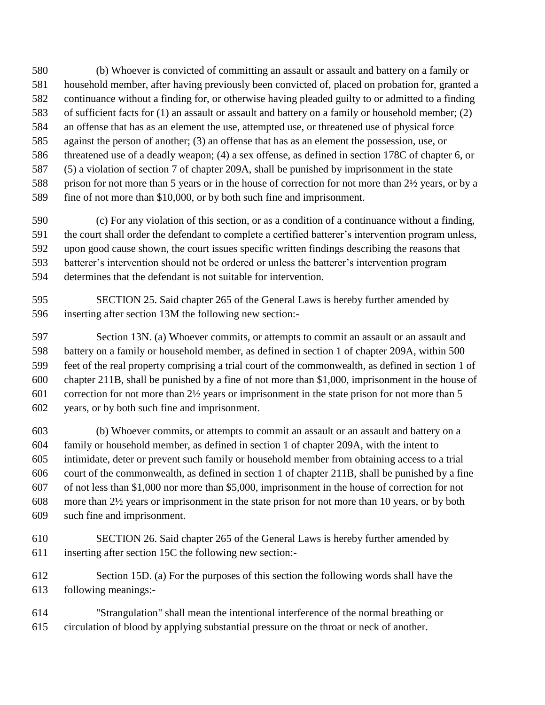(b) Whoever is convicted of committing an assault or assault and battery on a family or household member, after having previously been convicted of, placed on probation for, granted a continuance without a finding for, or otherwise having pleaded guilty to or admitted to a finding of sufficient facts for (1) an assault or assault and battery on a family or household member; (2) an offense that has as an element the use, attempted use, or threatened use of physical force against the person of another; (3) an offense that has as an element the possession, use, or threatened use of a deadly weapon; (4) a sex offense, as defined in section 178C of chapter 6, or (5) a violation of section 7 of chapter 209A, shall be punished by imprisonment in the state prison for not more than 5 years or in the house of correction for not more than 2½ years, or by a fine of not more than \$10,000, or by both such fine and imprisonment.

 (c) For any violation of this section, or as a condition of a continuance without a finding, the court shall order the defendant to complete a certified batterer's intervention program unless, upon good cause shown, the court issues specific written findings describing the reasons that batterer's intervention should not be ordered or unless the batterer's intervention program determines that the defendant is not suitable for intervention.

 SECTION 25. Said chapter 265 of the General Laws is hereby further amended by inserting after section 13M the following new section:-

 Section 13N. (a) Whoever commits, or attempts to commit an assault or an assault and battery on a family or household member, as defined in section 1 of chapter 209A, within 500 feet of the real property comprising a trial court of the commonwealth, as defined in section 1 of chapter 211B, shall be punished by a fine of not more than \$1,000, imprisonment in the house of correction for not more than 2½ years or imprisonment in the state prison for not more than 5 years, or by both such fine and imprisonment.

 (b) Whoever commits, or attempts to commit an assault or an assault and battery on a family or household member, as defined in section 1 of chapter 209A, with the intent to intimidate, deter or prevent such family or household member from obtaining access to a trial court of the commonwealth, as defined in section 1 of chapter 211B, shall be punished by a fine of not less than \$1,000 nor more than \$5,000, imprisonment in the house of correction for not more than 2½ years or imprisonment in the state prison for not more than 10 years, or by both such fine and imprisonment.

 SECTION 26. Said chapter 265 of the General Laws is hereby further amended by inserting after section 15C the following new section:-

 Section 15D. (a) For the purposes of this section the following words shall have the following meanings:-

 "Strangulation" shall mean the intentional interference of the normal breathing or circulation of blood by applying substantial pressure on the throat or neck of another.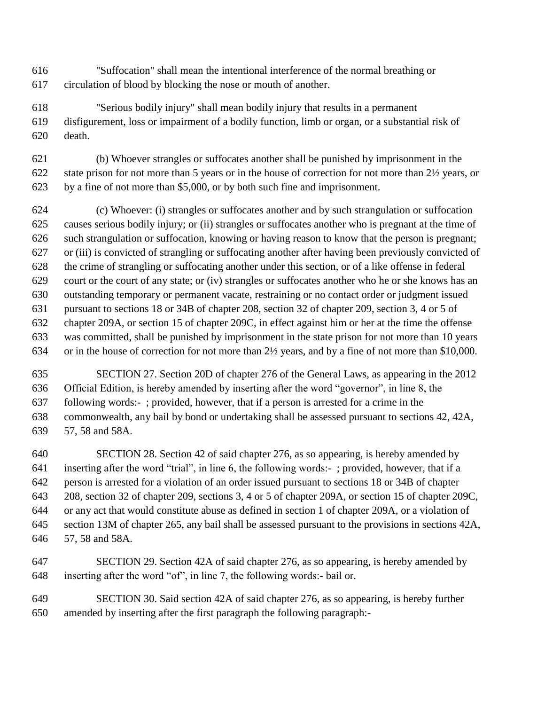- "Suffocation" shall mean the intentional interference of the normal breathing or circulation of blood by blocking the nose or mouth of another.
- "Serious bodily injury" shall mean bodily injury that results in a permanent disfigurement, loss or impairment of a bodily function, limb or organ, or a substantial risk of death.
- (b) Whoever strangles or suffocates another shall be punished by imprisonment in the state prison for not more than 5 years or in the house of correction for not more than 2½ years, or by a fine of not more than \$5,000, or by both such fine and imprisonment.
- (c) Whoever: (i) strangles or suffocates another and by such strangulation or suffocation causes serious bodily injury; or (ii) strangles or suffocates another who is pregnant at the time of such strangulation or suffocation, knowing or having reason to know that the person is pregnant; or (iii) is convicted of strangling or suffocating another after having been previously convicted of the crime of strangling or suffocating another under this section, or of a like offense in federal court or the court of any state; or (iv) strangles or suffocates another who he or she knows has an outstanding temporary or permanent vacate, restraining or no contact order or judgment issued pursuant to sections 18 or 34B of chapter 208, section 32 of chapter 209, section 3, 4 or 5 of chapter 209A, or section 15 of chapter 209C, in effect against him or her at the time the offense was committed, shall be punished by imprisonment in the state prison for not more than 10 years or in the house of correction for not more than 2½ years, and by a fine of not more than \$10,000.
- SECTION 27. Section 20D of chapter 276 of the General Laws, as appearing in the 2012 Official Edition, is hereby amended by inserting after the word "governor", in line 8, the following words:- ; provided, however, that if a person is arrested for a crime in the commonwealth, any bail by bond or undertaking shall be assessed pursuant to sections 42, 42A, 57, 58 and 58A.
- SECTION 28. Section 42 of said chapter 276, as so appearing, is hereby amended by inserting after the word "trial", in line 6, the following words:- ; provided, however, that if a person is arrested for a violation of an order issued pursuant to sections 18 or 34B of chapter 208, section 32 of chapter 209, sections 3, 4 or 5 of chapter 209A, or section 15 of chapter 209C, or any act that would constitute abuse as defined in section 1 of chapter 209A, or a violation of section 13M of chapter 265, any bail shall be assessed pursuant to the provisions in sections 42A, 57, 58 and 58A.
- SECTION 29. Section 42A of said chapter 276, as so appearing, is hereby amended by inserting after the word "of", in line 7, the following words:- bail or.
- SECTION 30. Said section 42A of said chapter 276, as so appearing, is hereby further amended by inserting after the first paragraph the following paragraph:-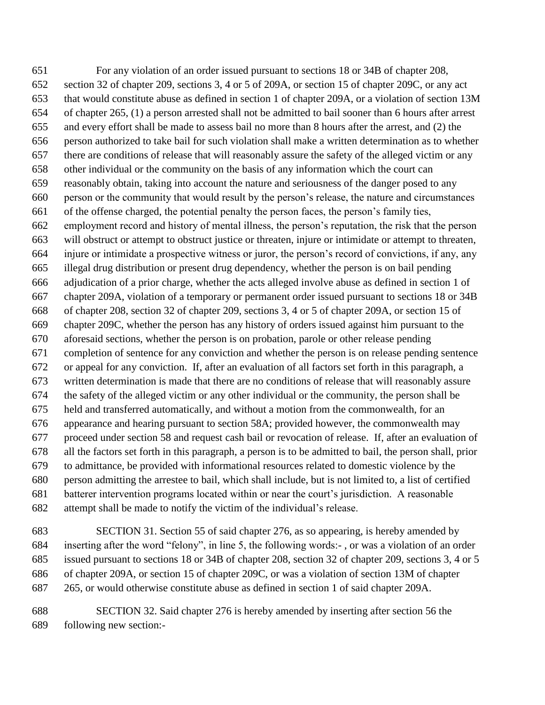For any violation of an order issued pursuant to sections 18 or 34B of chapter 208, section 32 of chapter 209, sections 3, 4 or 5 of 209A, or section 15 of chapter 209C, or any act that would constitute abuse as defined in section 1 of chapter 209A, or a violation of section 13M of chapter 265, (1) a person arrested shall not be admitted to bail sooner than 6 hours after arrest and every effort shall be made to assess bail no more than 8 hours after the arrest, and (2) the person authorized to take bail for such violation shall make a written determination as to whether there are conditions of release that will reasonably assure the safety of the alleged victim or any other individual or the community on the basis of any information which the court can reasonably obtain, taking into account the nature and seriousness of the danger posed to any person or the community that would result by the person's release, the nature and circumstances of the offense charged, the potential penalty the person faces, the person's family ties, employment record and history of mental illness, the person's reputation, the risk that the person will obstruct or attempt to obstruct justice or threaten, injure or intimidate or attempt to threaten, injure or intimidate a prospective witness or juror, the person's record of convictions, if any, any illegal drug distribution or present drug dependency, whether the person is on bail pending adjudication of a prior charge, whether the acts alleged involve abuse as defined in section 1 of chapter 209A, violation of a temporary or permanent order issued pursuant to sections 18 or 34B of chapter 208, section 32 of chapter 209, sections 3, 4 or 5 of chapter 209A, or section 15 of chapter 209C, whether the person has any history of orders issued against him pursuant to the aforesaid sections, whether the person is on probation, parole or other release pending completion of sentence for any conviction and whether the person is on release pending sentence or appeal for any conviction. If, after an evaluation of all factors set forth in this paragraph, a written determination is made that there are no conditions of release that will reasonably assure the safety of the alleged victim or any other individual or the community, the person shall be held and transferred automatically, and without a motion from the commonwealth, for an appearance and hearing pursuant to section 58A; provided however, the commonwealth may proceed under section 58 and request cash bail or revocation of release. If, after an evaluation of all the factors set forth in this paragraph, a person is to be admitted to bail, the person shall, prior to admittance, be provided with informational resources related to domestic violence by the person admitting the arrestee to bail, which shall include, but is not limited to, a list of certified batterer intervention programs located within or near the court's jurisdiction. A reasonable attempt shall be made to notify the victim of the individual's release.

 SECTION 31. Section 55 of said chapter 276, as so appearing, is hereby amended by inserting after the word "felony", in line 5, the following words:- , or was a violation of an order issued pursuant to sections 18 or 34B of chapter 208, section 32 of chapter 209, sections 3, 4 or 5 of chapter 209A, or section 15 of chapter 209C, or was a violation of section 13M of chapter 265, or would otherwise constitute abuse as defined in section 1 of said chapter 209A.

 SECTION 32. Said chapter 276 is hereby amended by inserting after section 56 the following new section:-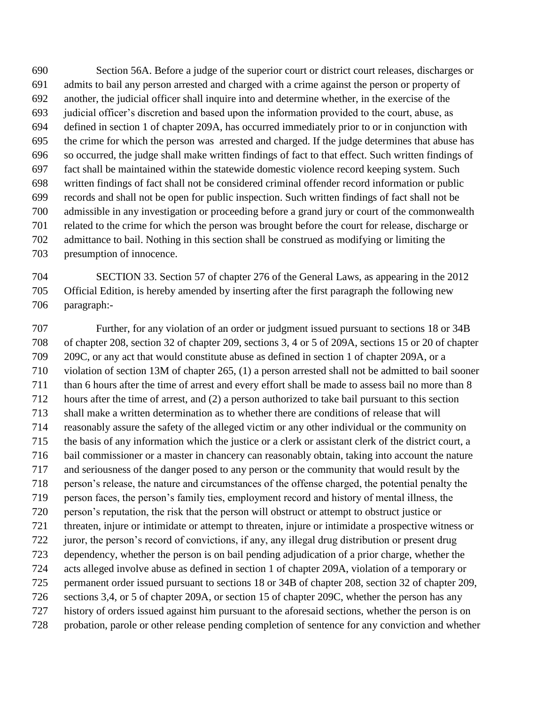Section 56A. Before a judge of the superior court or district court releases, discharges or admits to bail any person arrested and charged with a crime against the person or property of another, the judicial officer shall inquire into and determine whether, in the exercise of the judicial officer's discretion and based upon the information provided to the court, abuse, as defined in section 1 of chapter 209A, has occurred immediately prior to or in conjunction with the crime for which the person was arrested and charged. If the judge determines that abuse has so occurred, the judge shall make written findings of fact to that effect. Such written findings of fact shall be maintained within the statewide domestic violence record keeping system. Such written findings of fact shall not be considered criminal offender record information or public records and shall not be open for public inspection. Such written findings of fact shall not be admissible in any investigation or proceeding before a grand jury or court of the commonwealth related to the crime for which the person was brought before the court for release, discharge or admittance to bail. Nothing in this section shall be construed as modifying or limiting the presumption of innocence.

 SECTION 33. Section 57 of chapter 276 of the General Laws, as appearing in the 2012 Official Edition, is hereby amended by inserting after the first paragraph the following new paragraph:-

 Further, for any violation of an order or judgment issued pursuant to sections 18 or 34B of chapter 208, section 32 of chapter 209, sections 3, 4 or 5 of 209A, sections 15 or 20 of chapter 209C, or any act that would constitute abuse as defined in section 1 of chapter 209A, or a violation of section 13M of chapter 265, (1) a person arrested shall not be admitted to bail sooner than 6 hours after the time of arrest and every effort shall be made to assess bail no more than 8 hours after the time of arrest, and (2) a person authorized to take bail pursuant to this section shall make a written determination as to whether there are conditions of release that will reasonably assure the safety of the alleged victim or any other individual or the community on the basis of any information which the justice or a clerk or assistant clerk of the district court, a bail commissioner or a master in chancery can reasonably obtain, taking into account the nature and seriousness of the danger posed to any person or the community that would result by the person's release, the nature and circumstances of the offense charged, the potential penalty the person faces, the person's family ties, employment record and history of mental illness, the person's reputation, the risk that the person will obstruct or attempt to obstruct justice or threaten, injure or intimidate or attempt to threaten, injure or intimidate a prospective witness or juror, the person's record of convictions, if any, any illegal drug distribution or present drug dependency, whether the person is on bail pending adjudication of a prior charge, whether the acts alleged involve abuse as defined in section 1 of chapter 209A, violation of a temporary or permanent order issued pursuant to sections 18 or 34B of chapter 208, section 32 of chapter 209, sections 3,4, or 5 of chapter 209A, or section 15 of chapter 209C, whether the person has any history of orders issued against him pursuant to the aforesaid sections, whether the person is on probation, parole or other release pending completion of sentence for any conviction and whether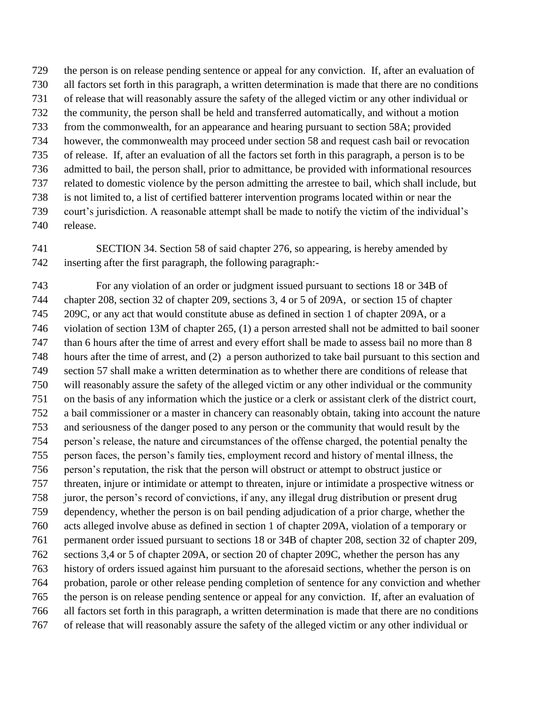the person is on release pending sentence or appeal for any conviction. If, after an evaluation of all factors set forth in this paragraph, a written determination is made that there are no conditions of release that will reasonably assure the safety of the alleged victim or any other individual or the community, the person shall be held and transferred automatically, and without a motion from the commonwealth, for an appearance and hearing pursuant to section 58A; provided however, the commonwealth may proceed under section 58 and request cash bail or revocation of release. If, after an evaluation of all the factors set forth in this paragraph, a person is to be admitted to bail, the person shall, prior to admittance, be provided with informational resources related to domestic violence by the person admitting the arrestee to bail, which shall include, but is not limited to, a list of certified batterer intervention programs located within or near the court's jurisdiction. A reasonable attempt shall be made to notify the victim of the individual's release.

 SECTION 34. Section 58 of said chapter 276, so appearing, is hereby amended by inserting after the first paragraph, the following paragraph:-

 For any violation of an order or judgment issued pursuant to sections 18 or 34B of chapter 208, section 32 of chapter 209, sections 3, 4 or 5 of 209A, or section 15 of chapter 209C, or any act that would constitute abuse as defined in section 1 of chapter 209A, or a violation of section 13M of chapter 265, (1) a person arrested shall not be admitted to bail sooner than 6 hours after the time of arrest and every effort shall be made to assess bail no more than 8 hours after the time of arrest, and (2) a person authorized to take bail pursuant to this section and section 57 shall make a written determination as to whether there are conditions of release that will reasonably assure the safety of the alleged victim or any other individual or the community on the basis of any information which the justice or a clerk or assistant clerk of the district court, a bail commissioner or a master in chancery can reasonably obtain, taking into account the nature and seriousness of the danger posed to any person or the community that would result by the person's release, the nature and circumstances of the offense charged, the potential penalty the person faces, the person's family ties, employment record and history of mental illness, the person's reputation, the risk that the person will obstruct or attempt to obstruct justice or threaten, injure or intimidate or attempt to threaten, injure or intimidate a prospective witness or juror, the person's record of convictions, if any, any illegal drug distribution or present drug dependency, whether the person is on bail pending adjudication of a prior charge, whether the acts alleged involve abuse as defined in section 1 of chapter 209A, violation of a temporary or permanent order issued pursuant to sections 18 or 34B of chapter 208, section 32 of chapter 209, sections 3,4 or 5 of chapter 209A, or section 20 of chapter 209C, whether the person has any history of orders issued against him pursuant to the aforesaid sections, whether the person is on probation, parole or other release pending completion of sentence for any conviction and whether the person is on release pending sentence or appeal for any conviction. If, after an evaluation of all factors set forth in this paragraph, a written determination is made that there are no conditions of release that will reasonably assure the safety of the alleged victim or any other individual or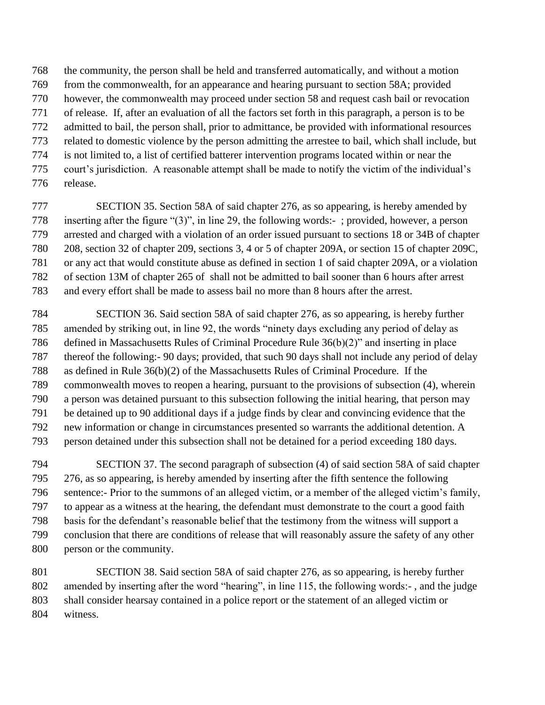the community, the person shall be held and transferred automatically, and without a motion from the commonwealth, for an appearance and hearing pursuant to section 58A; provided however, the commonwealth may proceed under section 58 and request cash bail or revocation of release. If, after an evaluation of all the factors set forth in this paragraph, a person is to be admitted to bail, the person shall, prior to admittance, be provided with informational resources related to domestic violence by the person admitting the arrestee to bail, which shall include, but is not limited to, a list of certified batterer intervention programs located within or near the court's jurisdiction. A reasonable attempt shall be made to notify the victim of the individual's release.

 SECTION 35. Section 58A of said chapter 276, as so appearing, is hereby amended by inserting after the figure "(3)", in line 29, the following words:- ; provided, however, a person arrested and charged with a violation of an order issued pursuant to sections 18 or 34B of chapter 208, section 32 of chapter 209, sections 3, 4 or 5 of chapter 209A, or section 15 of chapter 209C, or any act that would constitute abuse as defined in section 1 of said chapter 209A, or a violation of section 13M of chapter 265 of shall not be admitted to bail sooner than 6 hours after arrest and every effort shall be made to assess bail no more than 8 hours after the arrest.

 SECTION 36. Said section 58A of said chapter 276, as so appearing, is hereby further amended by striking out, in line 92, the words "ninety days excluding any period of delay as defined in Massachusetts Rules of Criminal Procedure Rule 36(b)(2)" and inserting in place thereof the following:- 90 days; provided, that such 90 days shall not include any period of delay as defined in Rule 36(b)(2) of the Massachusetts Rules of Criminal Procedure. If the commonwealth moves to reopen a hearing, pursuant to the provisions of subsection (4), wherein a person was detained pursuant to this subsection following the initial hearing, that person may be detained up to 90 additional days if a judge finds by clear and convincing evidence that the new information or change in circumstances presented so warrants the additional detention. A person detained under this subsection shall not be detained for a period exceeding 180 days.

 SECTION 37. The second paragraph of subsection (4) of said section 58A of said chapter 276, as so appearing, is hereby amended by inserting after the fifth sentence the following sentence:- Prior to the summons of an alleged victim, or a member of the alleged victim's family, to appear as a witness at the hearing, the defendant must demonstrate to the court a good faith basis for the defendant's reasonable belief that the testimony from the witness will support a conclusion that there are conditions of release that will reasonably assure the safety of any other person or the community.

 SECTION 38. Said section 58A of said chapter 276, as so appearing, is hereby further amended by inserting after the word "hearing", in line 115, the following words:- , and the judge shall consider hearsay contained in a police report or the statement of an alleged victim or witness.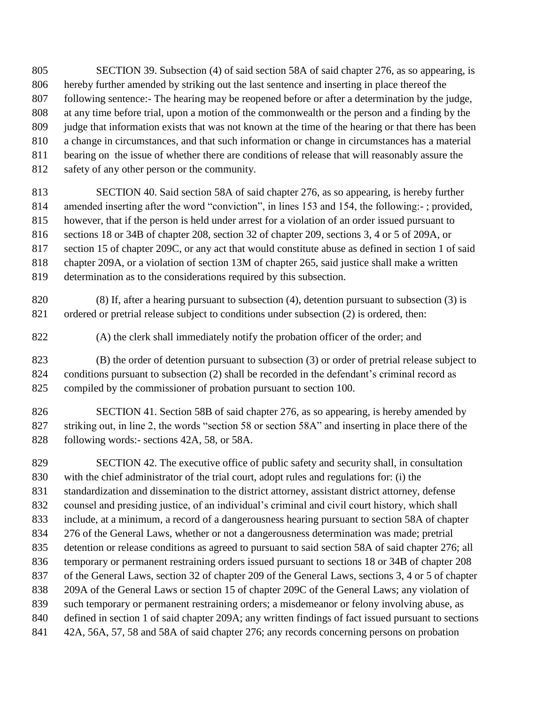- SECTION 39. Subsection (4) of said section 58A of said chapter 276, as so appearing, is hereby further amended by striking out the last sentence and inserting in place thereof the following sentence:- The hearing may be reopened before or after a determination by the judge, at any time before trial, upon a motion of the commonwealth or the person and a finding by the judge that information exists that was not known at the time of the hearing or that there has been a change in circumstances, and that such information or change in circumstances has a material bearing on the issue of whether there are conditions of release that will reasonably assure the safety of any other person or the community.
- SECTION 40. Said section 58A of said chapter 276, as so appearing, is hereby further amended inserting after the word "conviction", in lines 153 and 154, the following:- ; provided, however, that if the person is held under arrest for a violation of an order issued pursuant to sections 18 or 34B of chapter 208, section 32 of chapter 209, sections 3, 4 or 5 of 209A, or section 15 of chapter 209C, or any act that would constitute abuse as defined in section 1 of said chapter 209A, or a violation of section 13M of chapter 265, said justice shall make a written determination as to the considerations required by this subsection.
- (8) If, after a hearing pursuant to subsection (4), detention pursuant to subsection (3) is ordered or pretrial release subject to conditions under subsection (2) is ordered, then:
- (A) the clerk shall immediately notify the probation officer of the order; and
- (B) the order of detention pursuant to subsection (3) or order of pretrial release subject to conditions pursuant to subsection (2) shall be recorded in the defendant's criminal record as compiled by the commissioner of probation pursuant to section 100.
- SECTION 41. Section 58B of said chapter 276, as so appearing, is hereby amended by striking out, in line 2, the words "section 58 or section 58A" and inserting in place there of the following words:- sections 42A, 58, or 58A.

 SECTION 42. The executive office of public safety and security shall, in consultation with the chief administrator of the trial court, adopt rules and regulations for: (i) the standardization and dissemination to the district attorney, assistant district attorney, defense counsel and presiding justice, of an individual's criminal and civil court history, which shall include, at a minimum, a record of a dangerousness hearing pursuant to section 58A of chapter 276 of the General Laws, whether or not a dangerousness determination was made; pretrial detention or release conditions as agreed to pursuant to said section 58A of said chapter 276; all temporary or permanent restraining orders issued pursuant to sections 18 or 34B of chapter 208 of the General Laws, section 32 of chapter 209 of the General Laws, sections 3, 4 or 5 of chapter 209A of the General Laws or section 15 of chapter 209C of the General Laws; any violation of such temporary or permanent restraining orders; a misdemeanor or felony involving abuse, as defined in section 1 of said chapter 209A; any written findings of fact issued pursuant to sections 42A, 56A, 57, 58 and 58A of said chapter 276; any records concerning persons on probation